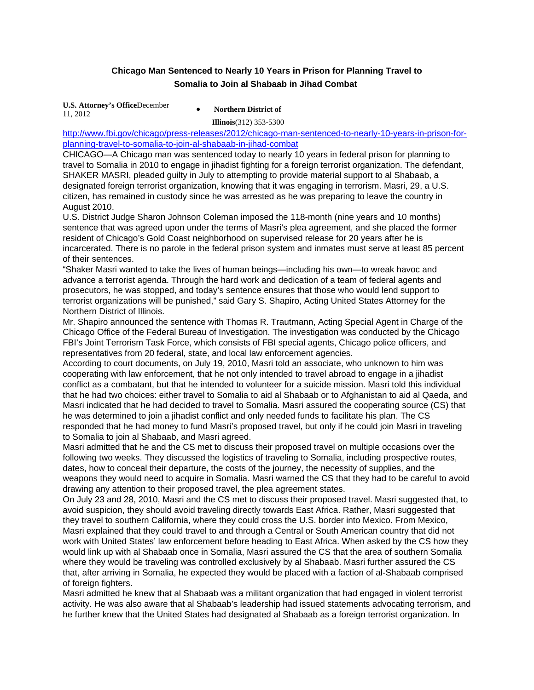## **Chicago Man Sentenced to Nearly 10 Years in Prison for Planning Travel to Somalia to Join al Shabaab in Jihad Combat**

**U.S. Attorney's Office**December **•** Northern District of 11, 2012

**Illinois**(312) 353-5300

http://www.fbi.gov/chicago/press-releases/2012/chicago-man-sentenced-to-nearly-10-years-in-prison-forplanning-travel-to-somalia-to-join-al-shabaab-in-jihad-combat

CHICAGO—A Chicago man was sentenced today to nearly 10 years in federal prison for planning to travel to Somalia in 2010 to engage in jihadist fighting for a foreign terrorist organization. The defendant, SHAKER MASRI, pleaded guilty in July to attempting to provide material support to al Shabaab, a designated foreign terrorist organization, knowing that it was engaging in terrorism. Masri, 29, a U.S. citizen, has remained in custody since he was arrested as he was preparing to leave the country in August 2010.

U.S. District Judge Sharon Johnson Coleman imposed the 118-month (nine years and 10 months) sentence that was agreed upon under the terms of Masri's plea agreement, and she placed the former resident of Chicago's Gold Coast neighborhood on supervised release for 20 years after he is incarcerated. There is no parole in the federal prison system and inmates must serve at least 85 percent of their sentences.

"Shaker Masri wanted to take the lives of human beings—including his own—to wreak havoc and advance a terrorist agenda. Through the hard work and dedication of a team of federal agents and prosecutors, he was stopped, and today's sentence ensures that those who would lend support to terrorist organizations will be punished," said Gary S. Shapiro, Acting United States Attorney for the Northern District of Illinois.

Mr. Shapiro announced the sentence with Thomas R. Trautmann, Acting Special Agent in Charge of the Chicago Office of the Federal Bureau of Investigation. The investigation was conducted by the Chicago FBI's Joint Terrorism Task Force, which consists of FBI special agents, Chicago police officers, and representatives from 20 federal, state, and local law enforcement agencies.

According to court documents, on July 19, 2010, Masri told an associate, who unknown to him was cooperating with law enforcement, that he not only intended to travel abroad to engage in a jihadist conflict as a combatant, but that he intended to volunteer for a suicide mission. Masri told this individual that he had two choices: either travel to Somalia to aid al Shabaab or to Afghanistan to aid al Qaeda, and Masri indicated that he had decided to travel to Somalia. Masri assured the cooperating source (CS) that he was determined to join a jihadist conflict and only needed funds to facilitate his plan. The CS responded that he had money to fund Masri's proposed travel, but only if he could join Masri in traveling to Somalia to join al Shabaab, and Masri agreed.

Masri admitted that he and the CS met to discuss their proposed travel on multiple occasions over the following two weeks. They discussed the logistics of traveling to Somalia, including prospective routes, dates, how to conceal their departure, the costs of the journey, the necessity of supplies, and the weapons they would need to acquire in Somalia. Masri warned the CS that they had to be careful to avoid drawing any attention to their proposed travel, the plea agreement states.

On July 23 and 28, 2010, Masri and the CS met to discuss their proposed travel. Masri suggested that, to avoid suspicion, they should avoid traveling directly towards East Africa. Rather, Masri suggested that they travel to southern California, where they could cross the U.S. border into Mexico. From Mexico, Masri explained that they could travel to and through a Central or South American country that did not work with United States' law enforcement before heading to East Africa. When asked by the CS how they would link up with al Shabaab once in Somalia, Masri assured the CS that the area of southern Somalia where they would be traveling was controlled exclusively by al Shabaab. Masri further assured the CS that, after arriving in Somalia, he expected they would be placed with a faction of al-Shabaab comprised of foreign fighters.

Masri admitted he knew that al Shabaab was a militant organization that had engaged in violent terrorist activity. He was also aware that al Shabaab's leadership had issued statements advocating terrorism, and he further knew that the United States had designated al Shabaab as a foreign terrorist organization. In